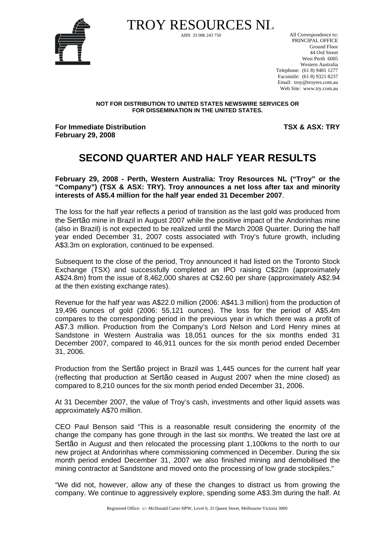

TROY RESOURCES NL All Correspondence to:

 PRINCIPAL OFFICE Ground Floor 44 Ord Street West Perth 6005 Western Australia Telephone: (61 8) 9481 1277 Facsimile: (61 8) 9321 8237 Email: troy@troyres.com.au Web Site: www.try.com.au

#### **NOT FOR DISTRIBUTION TO UNITED STATES NEWSWIRE SERVICES OR FOR DISSEMINATION IN THE UNITED STATES.**

**For Immediate Distribution February 29, 2008** 

**TSX & ASX: TRY**

### **SECOND QUARTER AND HALF YEAR RESULTS**

**February 29, 2008 - Perth, Western Australia: Troy Resources NL ("Troy" or the "Company") (TSX & ASX: TRY). Troy announces a net loss after tax and minority interests of A\$5.4 million for the half year ended 31 December 2007**.

The loss for the half year reflects a period of transition as the last gold was produced from the Sertão mine in Brazil in August 2007 while the positive impact of the Andorinhas mine (also in Brazil) is not expected to be realized until the March 2008 Quarter. During the half year ended December 31, 2007 costs associated with Troy's future growth, including A\$3.3m on exploration, continued to be expensed.

Subsequent to the close of the period, Troy announced it had listed on the Toronto Stock Exchange (TSX) and successfully completed an IPO raising C\$22m (approximately A\$24.8m) from the issue of 8,462,000 shares at C\$2.60 per share (approximately A\$2.94 at the then existing exchange rates).

Revenue for the half year was A\$22.0 million (2006: A\$41.3 million) from the production of 19,496 ounces of gold (2006: 55,121 ounces). The loss for the period of A\$5.4m compares to the corresponding period in the previous year in which there was a profit of A\$7.3 million. Production from the Company's Lord Nelson and Lord Henry mines at Sandstone in Western Australia was 18,051 ounces for the six months ended 31 December 2007, compared to 46,911 ounces for the six month period ended December 31, 2006.

Production from the Sertão project in Brazil was 1,445 ounces for the current half year (reflecting that production at Sertão ceased in August 2007 when the mine closed) as compared to 8,210 ounces for the six month period ended December 31, 2006.

At 31 December 2007, the value of Troy's cash, investments and other liquid assets was approximately A\$70 million.

CEO Paul Benson said "This is a reasonable result considering the enormity of the change the company has gone through in the last six months. We treated the last ore at Sertão in August and then relocated the processing plant 1,100kms to the north to our new project at Andorinhas where commissioning commenced in December. During the six month period ended December 31, 2007 we also finished mining and demobilised the mining contractor at Sandstone and moved onto the processing of low grade stockpiles."

"We did not, however, allow any of these the changes to distract us from growing the company. We continue to aggressively explore, spending some A\$3.3m during the half. At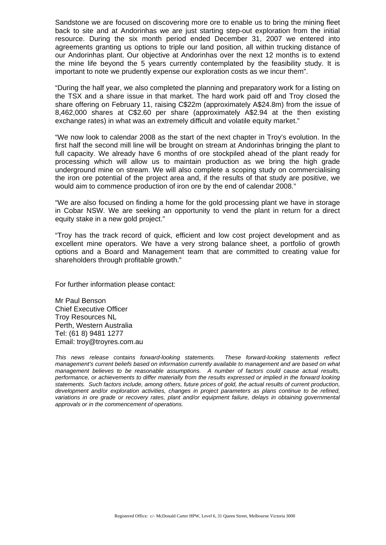Sandstone we are focused on discovering more ore to enable us to bring the mining fleet back to site and at Andorinhas we are just starting step-out exploration from the initial resource. During the six month period ended December 31, 2007 we entered into agreements granting us options to triple our land position, all within trucking distance of our Andorinhas plant. Our objective at Andorinhas over the next 12 months is to extend the mine life beyond the 5 years currently contemplated by the feasibility study. It is important to note we prudently expense our exploration costs as we incur them".

"During the half year, we also completed the planning and preparatory work for a listing on the TSX and a share issue in that market. The hard work paid off and Troy closed the share offering on February 11, raising C\$22m (approximately A\$24.8m) from the issue of 8,462,000 shares at C\$2.60 per share (approximately A\$2.94 at the then existing exchange rates) in what was an extremely difficult and volatile equity market."

"We now look to calendar 2008 as the start of the next chapter in Troy's evolution. In the first half the second mill line will be brought on stream at Andorinhas bringing the plant to full capacity. We already have 6 months of ore stockpiled ahead of the plant ready for processing which will allow us to maintain production as we bring the high grade underground mine on stream. We will also complete a scoping study on commercialising the iron ore potential of the project area and, if the results of that study are positive, we would aim to commence production of iron ore by the end of calendar 2008."

"We are also focused on finding a home for the gold processing plant we have in storage in Cobar NSW. We are seeking an opportunity to vend the plant in return for a direct equity stake in a new gold project."

"Troy has the track record of quick, efficient and low cost project development and as excellent mine operators. We have a very strong balance sheet, a portfolio of growth options and a Board and Management team that are committed to creating value for shareholders through profitable growth."

For further information please contact:

Mr Paul Benson Chief Executive Officer Troy Resources NL Perth, Western Australia Tel: (61 8) 9481 1277 Email: troy@troyres.com.au

*This news release contains forward-looking statements. These forward-looking statements reflect management's current beliefs based on information currently available to management and are based on what management believes to be reasonable assumptions. A number of factors could cause actual results, performance, or achievements to differ materially from the results expressed or implied in the forward looking statements. Such factors include, among others, future prices of gold, the actual results of current production, development and/or exploration activities, changes in project parameters as plans continue to be refined,*  variations in ore grade or recovery rates, plant and/or equipment failure, delays in obtaining governmental *approvals or in the commencement of operations.*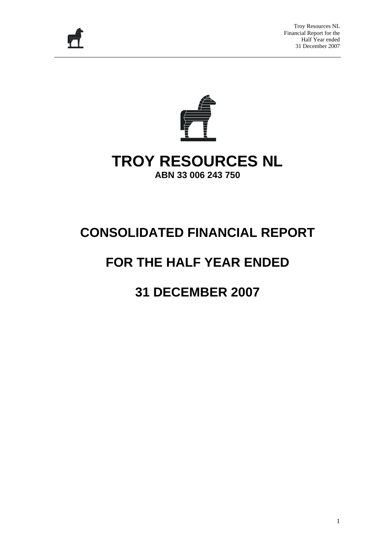



### **TROY RESOURCES NL ABN 33 006 243 750**

# **CONSOLIDATED FINANCIAL REPORT**

# **FOR THE HALF YEAR ENDED**

## **31 DECEMBER 2007**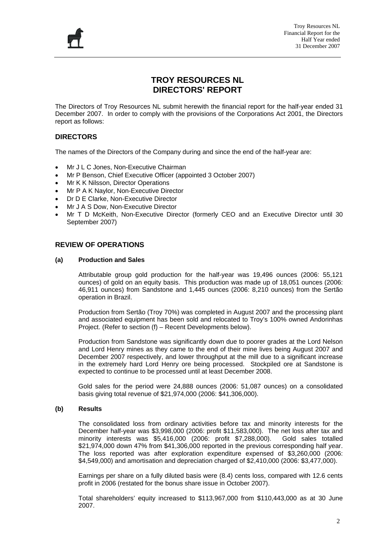

#### **TROY RESOURCES NL DIRECTORS' REPORT**

The Directors of Troy Resources NL submit herewith the financial report for the half-year ended 31 December 2007. In order to comply with the provisions of the Corporations Act 2001, the Directors report as follows:

#### **DIRECTORS**

The names of the Directors of the Company during and since the end of the half-year are:

- Mr J L C Jones, Non-Executive Chairman
- Mr P Benson, Chief Executive Officer (appointed 3 October 2007)
- Mr K K Nilsson, Director Operations
- Mr P A K Naylor, Non-Executive Director
- Dr D E Clarke, Non-Executive Director
- Mr J A S Dow, Non-Executive Director
- Mr T D McKeith, Non-Executive Director (formerly CEO and an Executive Director until 30 September 2007)

#### **REVIEW OF OPERATIONS**

#### **(a) Production and Sales**

Attributable group gold production for the half-year was 19,496 ounces (2006: 55,121 ounces) of gold on an equity basis. This production was made up of 18,051 ounces (2006: 46,911 ounces) from Sandstone and 1,445 ounces (2006: 8,210 ounces) from the Sertão operation in Brazil.

Production from Sertão (Troy 70%) was completed in August 2007 and the processing plant and associated equipment has been sold and relocated to Troy's 100% owned Andorinhas Project. (Refer to section (f) – Recent Developments below).

Production from Sandstone was significantly down due to poorer grades at the Lord Nelson and Lord Henry mines as they came to the end of their mine lives being August 2007 and December 2007 respectively, and lower throughput at the mill due to a significant increase in the extremely hard Lord Henry ore being processed. Stockpiled ore at Sandstone is expected to continue to be processed until at least December 2008.

Gold sales for the period were 24,888 ounces (2006: 51,087 ounces) on a consolidated basis giving total revenue of \$21,974,000 (2006: \$41,306,000).

#### **(b) Results**

The consolidated loss from ordinary activities before tax and minority interests for the December half-year was \$3,998,000 (2006: profit \$11,583,000). The net loss after tax and minority interests was \$5,416,000 (2006: profit \$7,288,000). Gold sales totalled \$21,974,000 down 47% from \$41,306,000 reported in the previous corresponding half year. The loss reported was after exploration expenditure expensed of \$3,260,000 (2006: \$4,549,000) and amortisation and depreciation charged of \$2,410,000 (2006: \$3,477,000).

Earnings per share on a fully diluted basis were (8.4) cents loss, compared with 12.6 cents profit in 2006 (restated for the bonus share issue in October 2007).

Total shareholders' equity increased to \$113,967,000 from \$110,443,000 as at 30 June 2007.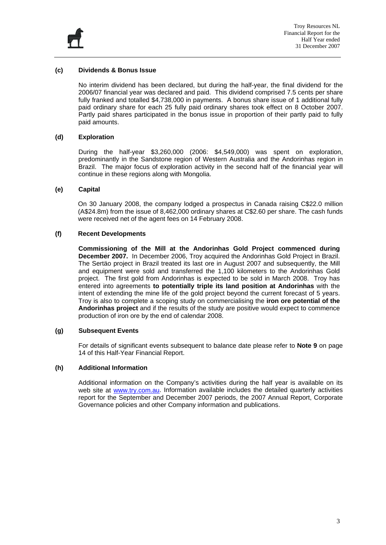

#### **(c) Dividends & Bonus Issue**

No interim dividend has been declared, but during the half-year, the final dividend for the 2006/07 financial year was declared and paid. This dividend comprised 7.5 cents per share fully franked and totalled \$4,738,000 in payments. A bonus share issue of 1 additional fully paid ordinary share for each 25 fully paid ordinary shares took effect on 8 October 2007. Partly paid shares participated in the bonus issue in proportion of their partly paid to fully paid amounts.

#### **(d) Exploration**

During the half-year \$3,260,000 (2006: \$4,549,000) was spent on exploration, predominantly in the Sandstone region of Western Australia and the Andorinhas region in Brazil. The major focus of exploration activity in the second half of the financial year will continue in these regions along with Mongolia.

#### **(e) Capital**

On 30 January 2008, the company lodged a prospectus in Canada raising C\$22.0 million (A\$24.8m) from the issue of 8,462,000 ordinary shares at C\$2.60 per share. The cash funds were received net of the agent fees on 14 February 2008.

#### **(f) Recent Developments**

**Commissioning of the Mill at the Andorinhas Gold Project commenced during December 2007.** In December 2006, Troy acquired the Andorinhas Gold Project in Brazil. The Sertäo project in Brazil treated its last ore in August 2007 and subsequently, the Mill and equipment were sold and transferred the 1,100 kilometers to the Andorinhas Gold project. The first gold from Andorinhas is expected to be sold in March 2008. Troy has entered into agreements **to potentially triple its land position at Andorinhas** with the intent of extending the mine life of the gold project beyond the current forecast of 5 years. Troy is also to complete a scoping study on commercialising the **iron ore potential of the Andorinhas project** and if the results of the study are positive would expect to commence production of iron ore by the end of calendar 2008.

#### **(g) Subsequent Events**

For details of significant events subsequent to balance date please refer to **Note 9** on page 14 of this Half-Year Financial Report.

#### **(h) Additional Information**

Additional information on the Company's activities during the half year is available on its web site at [www.try.com.au](http://www.try.com.au/). Information available includes the detailed quarterly activities report for the September and December 2007 periods, the 2007 Annual Report, Corporate Governance policies and other Company information and publications.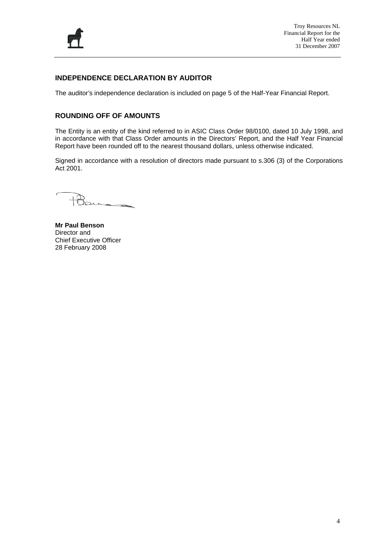

#### **INDEPENDENCE DECLARATION BY AUDITOR**

The auditor's independence declaration is included on page 5 of the Half-Year Financial Report.

#### **ROUNDING OFF OF AMOUNTS**

The Entity is an entity of the kind referred to in ASIC Class Order 98/0100, dated 10 July 1998, and in accordance with that Class Order amounts in the Directors' Report, and the Half Year Financial Report have been rounded off to the nearest thousand dollars, unless otherwise indicated.

Signed in accordance with a resolution of directors made pursuant to s.306 (3) of the Corporations Act 2001.

 $21 - 7$ 

**Mr Paul Benson**  Director and Chief Executive Officer 28 February 2008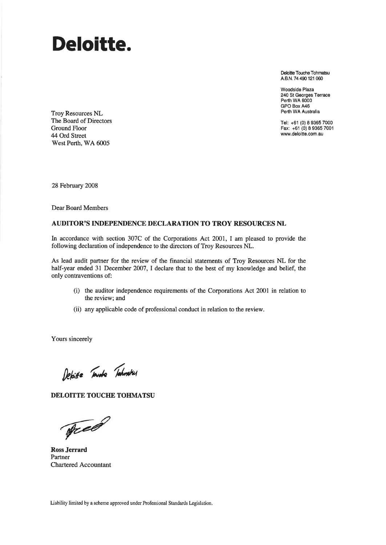# Deloitte.

Deloitte Touche Tohmatsu A.B.N. 74 490 121 060

Woodside Plaza 240 St Georges Terrace Perth WA 6000 GPO Box A46 Perth WA Australia

Tel: +61 (0) 8 9365 7000 Fax: +61 (0) 8 9365 7001 www.deloitte.com.au

Troy Resources NL The Board of Directors **Ground Floor** 44 Ord Street West Perth, WA 6005

28 February 2008

**Dear Board Members** 

#### **AUDITOR'S INDEPENDENCE DECLARATION TO TROY RESOURCES NL**

In accordance with section 307C of the Corporations Act 2001, I am pleased to provide the following declaration of independence to the directors of Troy Resources NL.

As lead audit partner for the review of the financial statements of Troy Resources NL for the half-year ended 31 December 2007, I declare that to the best of my knowledge and belief, the only contraventions of:

- (i) the auditor independence requirements of the Corporations Act 2001 in relation to the review; and
- (ii) any applicable code of professional conduct in relation to the review.

Yours sincerely

Depitte Toward Tahmatsus

DELOITTE TOUCHE TOHMATSU

Tree

**Ross Jerrard** Partner Chartered Accountant

Liability limited by a scheme approved under Professional Standards Legislation.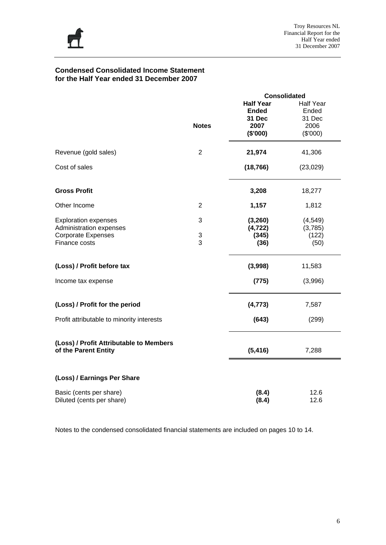

#### **Condensed Consolidated Income Statement for the Half Year ended 31 December 2007**

|                                                      |                | <b>Consolidated</b>    |                  |
|------------------------------------------------------|----------------|------------------------|------------------|
|                                                      |                | <b>Half Year</b>       | <b>Half Year</b> |
|                                                      |                | <b>Ended</b><br>31 Dec | Ended<br>31 Dec  |
|                                                      | <b>Notes</b>   | 2007                   | 2006             |
|                                                      |                | (\$'000)               | (\$'000)         |
|                                                      |                |                        |                  |
| Revenue (gold sales)                                 | $\overline{2}$ | 21,974                 | 41,306           |
| Cost of sales                                        |                | (18, 766)              | (23, 029)        |
| <b>Gross Profit</b>                                  |                | 3,208                  | 18,277           |
| Other Income                                         | $\overline{2}$ | 1,157                  | 1,812            |
| <b>Exploration expenses</b>                          | 3              | (3, 260)               | (4, 549)         |
| Administration expenses                              |                | (4, 722)               | (3,785)          |
| <b>Corporate Expenses</b>                            | 3<br>3         | (345)                  | (122)            |
| Finance costs                                        |                | (36)                   | (50)             |
| (Loss) / Profit before tax                           |                | (3,998)                | 11,583           |
| Income tax expense                                   |                | (775)                  | (3,996)          |
| (Loss) / Profit for the period                       |                | (4, 773)               | 7,587            |
| Profit attributable to minority interests            |                | (643)                  | (299)            |
| (Loss) / Profit Attributable to Members              |                |                        |                  |
| of the Parent Entity                                 |                | (5, 416)               | 7,288            |
| (Loss) / Earnings Per Share                          |                |                        |                  |
| Basic (cents per share)<br>Diluted (cents per share) |                | (8.4)<br>(8.4)         | 12.6<br>12.6     |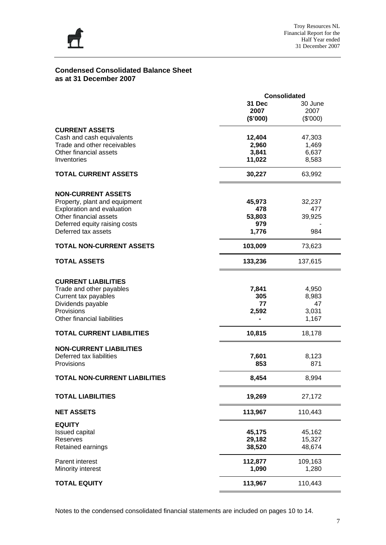

#### **Condensed Consolidated Balance Sheet as at 31 December 2007**

|                                      | <b>Consolidated</b> |          |  |  |  |
|--------------------------------------|---------------------|----------|--|--|--|
|                                      | 31 Dec              | 30 June  |  |  |  |
|                                      | 2007                | 2007     |  |  |  |
|                                      | (\$'000)            | (\$'000) |  |  |  |
| <b>CURRENT ASSETS</b>                |                     |          |  |  |  |
| Cash and cash equivalents            | 12,404              | 47,303   |  |  |  |
| Trade and other receivables          | 2,960               |          |  |  |  |
|                                      |                     | 1,469    |  |  |  |
| Other financial assets               | 3,841               | 6,637    |  |  |  |
| Inventories                          | 11,022              | 8,583    |  |  |  |
| <b>TOTAL CURRENT ASSETS</b>          | 30,227              | 63,992   |  |  |  |
|                                      |                     |          |  |  |  |
| <b>NON-CURRENT ASSETS</b>            |                     |          |  |  |  |
| Property, plant and equipment        | 45,973              | 32,237   |  |  |  |
| Exploration and evaluation           | 478                 | 477      |  |  |  |
| Other financial assets               | 53,803              | 39,925   |  |  |  |
| Deferred equity raising costs        | 979                 |          |  |  |  |
| Deferred tax assets                  | 1,776               | 984      |  |  |  |
|                                      |                     |          |  |  |  |
| <b>TOTAL NON-CURRENT ASSETS</b>      | 103,009             | 73,623   |  |  |  |
| <b>TOTAL ASSETS</b>                  | 133,236             | 137,615  |  |  |  |
| <b>CURRENT LIABILITIES</b>           |                     |          |  |  |  |
|                                      |                     |          |  |  |  |
| Trade and other payables             | 7,841               | 4,950    |  |  |  |
| Current tax payables                 | 305                 | 8,983    |  |  |  |
| Dividends payable                    | 77                  | 47       |  |  |  |
| Provisions                           | 2,592               | 3,031    |  |  |  |
| Other financial liabilities          |                     | 1,167    |  |  |  |
| <b>TOTAL CURRENT LIABILITIES</b>     | 10,815              | 18,178   |  |  |  |
| <b>NON-CURRENT LIABILITIES</b>       |                     |          |  |  |  |
| Deferred tax liabilities             | 7,601               | 8,123    |  |  |  |
|                                      |                     |          |  |  |  |
| Provisions                           | 853                 | 871      |  |  |  |
| <b>TOTAL NON-CURRENT LIABILITIES</b> | 8,454               | 8,994    |  |  |  |
| <b>TOTAL LIABILITIES</b>             | 19,269              | 27,172   |  |  |  |
| <b>NET ASSETS</b>                    | 113,967             | 110,443  |  |  |  |
| <b>EQUITY</b>                        |                     |          |  |  |  |
| <b>Issued capital</b>                | 45,175              | 45,162   |  |  |  |
| Reserves                             | 29,182              | 15,327   |  |  |  |
| Retained earnings                    | 38,520              | 48,674   |  |  |  |
|                                      |                     |          |  |  |  |
| Parent interest                      | 112,877             | 109,163  |  |  |  |
| Minority interest                    | 1,090               | 1,280    |  |  |  |
| <b>TOTAL EQUITY</b>                  | 113,967             | 110,443  |  |  |  |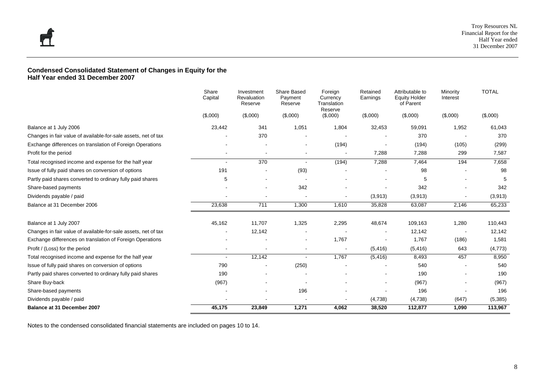#### **Condensed Consolidated Statement of Changes in Equity for the Half Year ended 31 December 2007**

|                                                                | Share<br>Capital | Investment<br>Revaluation<br>Reserve | Share Based<br>Payment<br>Reserve | Foreign<br>Currency<br>Translation<br>Reserve | Retained<br>Earnings | Attributable to<br><b>Equity Holder</b><br>of Parent | Minority<br>Interest | <b>TOTAL</b> |
|----------------------------------------------------------------|------------------|--------------------------------------|-----------------------------------|-----------------------------------------------|----------------------|------------------------------------------------------|----------------------|--------------|
|                                                                | (\$,000)         | (\$,000)                             | (\$,000)                          | (\$,000)                                      | (\$,000)             | (\$,000)                                             | (\$,000)             | (\$,000)     |
| Balance at 1 July 2006                                         | 23,442           | 341                                  | 1,051                             | 1,804                                         | 32,453               | 59,091                                               | 1,952                | 61,043       |
| Changes in fair value of available-for-sale assets, net of tax |                  | 370                                  |                                   |                                               |                      | 370                                                  |                      | 370          |
| Exchange differences on translation of Foreign Operations      |                  |                                      | $\blacksquare$                    | (194)                                         |                      | (194)                                                | (105)                | (299)        |
| Profit for the period                                          |                  |                                      |                                   |                                               | 7,288                | 7,288                                                | 299                  | 7,587        |
| Total recognised income and expense for the half year          | $\blacksquare$   | 370                                  | $\blacksquare$                    | (194)                                         | 7,288                | 7,464                                                | 194                  | 7,658        |
| Issue of fully paid shares on conversion of options            | 191              |                                      | (93)                              |                                               |                      | 98                                                   |                      | 98           |
| Partly paid shares converted to ordinary fully paid shares     | 5                |                                      |                                   |                                               |                      | 5                                                    |                      | 5            |
| Share-based payments                                           |                  |                                      | 342                               |                                               |                      | 342                                                  |                      | 342          |
| Dividends payable / paid                                       |                  |                                      |                                   |                                               | (3, 913)             | (3,913)                                              |                      | (3,913)      |
| Balance at 31 December 2006                                    | 23,638           | 711                                  | 1,300                             | 1,610                                         | 35,828               | 63,087                                               | 2,146                | 65,233       |
| Balance at 1 July 2007                                         | 45,162           | 11,707                               | 1,325                             | 2,295                                         | 48,674               | 109,163                                              | 1,280                | 110,443      |
| Changes in fair value of available-for-sale assets, net of tax |                  | 12,142                               |                                   |                                               |                      | 12,142                                               |                      | 12,142       |
| Exchange differences on translation of Foreign Operations      |                  |                                      | $\overline{\phantom{a}}$          | 1,767                                         |                      | 1,767                                                | (186)                | 1,581        |
| Profit / (Loss) for the period                                 | $\blacksquare$   |                                      | $\overline{\phantom{a}}$          | $\blacksquare$                                | (5, 416)             | (5, 416)                                             | 643                  | (4, 773)     |
| Total recognised income and expense for the half year          | $\sim$           | 12,142                               |                                   | 1,767                                         | (5, 416)             | 8,493                                                | 457                  | 8,950        |
| Issue of fully paid shares on conversion of options            | 790              |                                      | (250)                             |                                               |                      | 540                                                  |                      | 540          |
| Partly paid shares converted to ordinary fully paid shares     | 190              |                                      |                                   |                                               |                      | 190                                                  |                      | 190          |
| Share Buy-back                                                 | (967)            |                                      |                                   |                                               |                      | (967)                                                |                      | (967)        |
| Share-based payments                                           |                  |                                      | 196                               |                                               |                      | 196                                                  |                      | 196          |
| Dividends payable / paid                                       |                  |                                      |                                   |                                               | (4,738)              | (4,738)                                              | (647)                | (5, 385)     |
| <b>Balance at 31 December 2007</b>                             | 45,175           | 23,849                               | 1,271                             | 4,062                                         | 38,520               | 112,877                                              | 1,090                | 113,967      |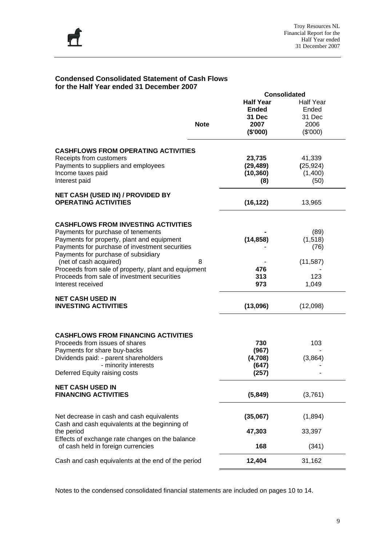

#### **Condensed Consolidated Statement of Cash Flows for the Half Year ended 31 December 2007**

|                                                     |             |                  | <b>Consolidated</b> |
|-----------------------------------------------------|-------------|------------------|---------------------|
|                                                     |             | <b>Half Year</b> | <b>Half Year</b>    |
|                                                     |             | <b>Ended</b>     | Ended               |
|                                                     |             | 31 Dec           | 31 Dec              |
|                                                     | <b>Note</b> | 2007             | 2006                |
|                                                     |             |                  |                     |
|                                                     |             | (\$'000)         | (\$'000)            |
|                                                     |             |                  |                     |
| <b>CASHFLOWS FROM OPERATING ACTIVITIES</b>          |             |                  |                     |
| Receipts from customers                             |             | 23,735           | 41,339              |
| Payments to suppliers and employees                 |             | (29, 489)        | (25, 924)           |
| Income taxes paid                                   |             | (10, 360)        | (1,400)             |
| Interest paid                                       |             | (8)              | (50)                |
| <b>NET CASH (USED IN) / PROVIDED BY</b>             |             |                  |                     |
| <b>OPERATING ACTIVITIES</b>                         |             | (16, 122)        | 13,965              |
|                                                     |             |                  |                     |
|                                                     |             |                  |                     |
| <b>CASHFLOWS FROM INVESTING ACTIVITIES</b>          |             |                  |                     |
| Payments for purchase of tenements                  |             |                  | (89)                |
| Payments for property, plant and equipment          |             | (14, 858)        | (1, 518)            |
| Payments for purchase of investment securities      |             |                  | (76)                |
| Payments for purchase of subsidiary                 |             |                  |                     |
| (net of cash acquired)                              | 8           |                  | (11, 587)           |
| Proceeds from sale of property, plant and equipment |             | 476              |                     |
| Proceeds from sale of investment securities         |             | 313              | 123                 |
| Interest received                                   |             | 973              | 1,049               |
|                                                     |             |                  |                     |
| <b>NET CASH USED IN</b>                             |             |                  |                     |
| <b>INVESTING ACTIVITIES</b>                         |             | (13,096)         | (12,098)            |
|                                                     |             |                  |                     |
|                                                     |             |                  |                     |
| <b>CASHFLOWS FROM FINANCING ACTIVITIES</b>          |             |                  |                     |
| Proceeds from issues of shares                      |             | 730              | 103                 |
| Payments for share buy-backs                        |             | (967)            |                     |
| Dividends paid: - parent shareholders               |             | (4,708)          | (3,864)             |
| - minority interests                                |             | (647)            |                     |
| Deferred Equity raising costs                       |             | (257)            |                     |
|                                                     |             |                  |                     |
| <b>NET CASH USED IN</b>                             |             |                  |                     |
| <b>FINANCING ACTIVITIES</b>                         |             | (5,849)          | (3,761)             |
|                                                     |             |                  |                     |
|                                                     |             |                  |                     |
| Net decrease in cash and cash equivalents           |             | (35,067)         | (1,894)             |
| Cash and cash equivalents at the beginning of       |             |                  |                     |
| the period                                          |             | 47,303           | 33,397              |
| Effects of exchange rate changes on the balance     |             |                  |                     |
| of cash held in foreign currencies                  |             | 168              | (341)               |
| Cash and cash equivalents at the end of the period  |             | 12,404           | 31,162              |
|                                                     |             |                  |                     |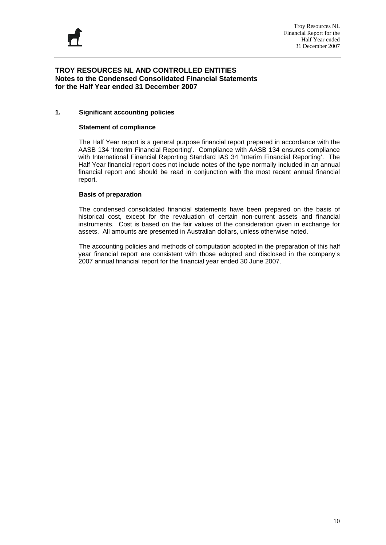

#### **TROY RESOURCES NL AND CONTROLLED ENTITIES Notes to the Condensed Consolidated Financial Statements for the Half Year ended 31 December 2007**

#### **1. Significant accounting policies**

#### **Statement of compliance**

The Half Year report is a general purpose financial report prepared in accordance with the AASB 134 'Interim Financial Reporting'. Compliance with AASB 134 ensures compliance with International Financial Reporting Standard IAS 34 'Interim Financial Reporting'. The Half Year financial report does not include notes of the type normally included in an annual financial report and should be read in conjunction with the most recent annual financial report.

#### **Basis of preparation**

 The condensed consolidated financial statements have been prepared on the basis of historical cost, except for the revaluation of certain non-current assets and financial instruments. Cost is based on the fair values of the consideration given in exchange for assets. All amounts are presented in Australian dollars, unless otherwise noted.

 The accounting policies and methods of computation adopted in the preparation of this half year financial report are consistent with those adopted and disclosed in the company's 2007 annual financial report for the financial year ended 30 June 2007.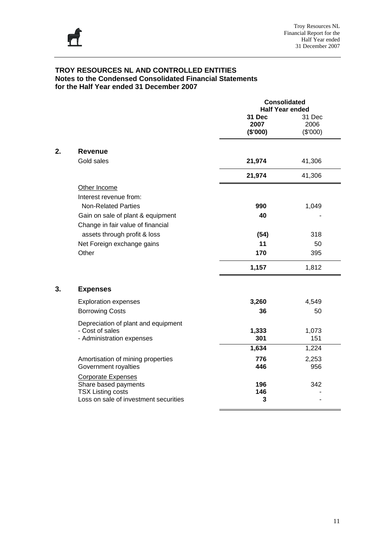

|    |                                                                                                                        | <b>Consolidated</b><br><b>Half Year ended</b> |                            |
|----|------------------------------------------------------------------------------------------------------------------------|-----------------------------------------------|----------------------------|
|    |                                                                                                                        | 31 Dec<br>2007<br>(\$'000)                    | 31 Dec<br>2006<br>(\$'000) |
| 2. | <b>Revenue</b>                                                                                                         |                                               |                            |
|    | Gold sales                                                                                                             | 21,974                                        | 41,306                     |
|    |                                                                                                                        | 21,974                                        | 41,306                     |
|    | Other Income<br>Interest revenue from:                                                                                 |                                               |                            |
|    | <b>Non-Related Parties</b>                                                                                             | 990                                           | 1,049                      |
|    | Gain on sale of plant & equipment<br>Change in fair value of financial                                                 | 40                                            |                            |
|    | assets through profit & loss                                                                                           | (54)                                          | 318                        |
|    | Net Foreign exchange gains                                                                                             | 11                                            | 50                         |
|    | Other                                                                                                                  | 170                                           | 395                        |
|    |                                                                                                                        | 1,157                                         | 1,812                      |
| 3. | <b>Expenses</b>                                                                                                        |                                               |                            |
|    | <b>Exploration expenses</b>                                                                                            | 3,260                                         | 4,549                      |
|    | <b>Borrowing Costs</b>                                                                                                 | 36                                            | 50                         |
|    | Depreciation of plant and equipment                                                                                    |                                               |                            |
|    | - Cost of sales<br>- Administration expenses                                                                           | 1,333<br>301                                  | 1,073<br>151               |
|    |                                                                                                                        | 1,634                                         | 1,224                      |
|    | Amortisation of mining properties<br>Government royalties                                                              | 776<br>446                                    | 2,253<br>956               |
|    | <b>Corporate Expenses</b><br>Share based payments<br><b>TSX Listing costs</b><br>Loss on sale of investment securities | 196<br>146<br>3                               | 342                        |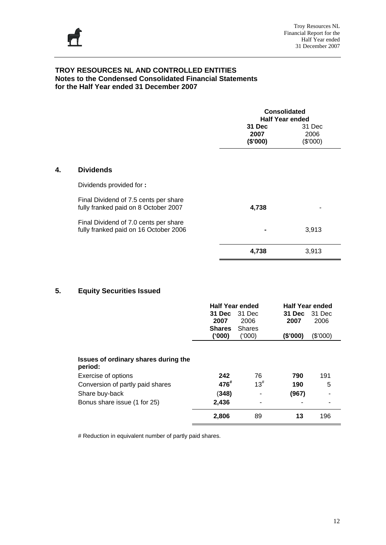

|    |                                                                                                          | <b>Consolidated</b><br><b>Half Year ended</b><br>31 Dec<br>31 Dec<br>2006<br>2007<br>(\$'000)<br>(\$'000) |       |  |  |  |
|----|----------------------------------------------------------------------------------------------------------|-----------------------------------------------------------------------------------------------------------|-------|--|--|--|
| 4. | <b>Dividends</b>                                                                                         |                                                                                                           |       |  |  |  |
|    | Dividends provided for:<br>Final Dividend of 7.5 cents per share<br>fully franked paid on 8 October 2007 | 4,738                                                                                                     |       |  |  |  |
|    | Final Dividend of 7.0 cents per share<br>fully franked paid on 16 October 2006                           |                                                                                                           | 3,913 |  |  |  |
|    |                                                                                                          | 4,738                                                                                                     | 3,913 |  |  |  |

#### **5. Equity Securities Issued**

|                                                                                                                                                              | <b>Half Year ended</b><br>31 Dec<br>2007<br><b>Shares</b><br>(000) | 31 Dec<br>2006<br><b>Shares</b><br>(000) | <b>Half Year ended</b><br>31 Dec<br>2007<br>(\$'000) | 31 Dec<br>2006<br>(\$'000) |
|--------------------------------------------------------------------------------------------------------------------------------------------------------------|--------------------------------------------------------------------|------------------------------------------|------------------------------------------------------|----------------------------|
| Issues of ordinary shares during the<br>period:<br>Exercise of options<br>Conversion of partly paid shares<br>Share buy-back<br>Bonus share issue (1 for 25) | 242<br>476"<br>(348)<br>2,436                                      | 76<br>$13^{#}$                           | 790<br>190<br>(967)                                  | 191<br>5                   |
|                                                                                                                                                              | 2,806                                                              | 89                                       | 13                                                   | 196                        |

# Reduction in equivalent number of partly paid shares.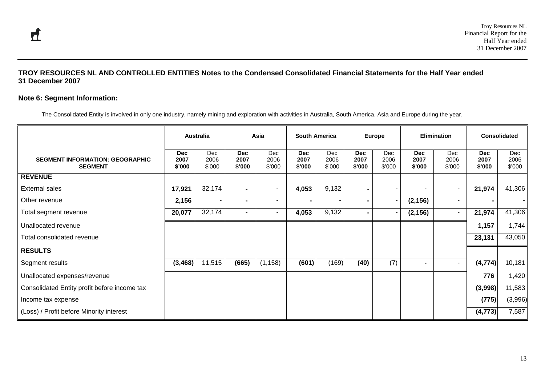#### **Note 6: Segment Information:**

The Consolidated Entity is involved in only one industry, namely mining and exploration with activities in Australia, South America, Asia and Europe during the year.

|                                                          |                              | <b>Australia</b>      |                              | Asia                           | <b>South America</b>         |                       |                              | <b>Europe</b>            |                              | Elimination              |                              | <b>Consolidated</b>   |
|----------------------------------------------------------|------------------------------|-----------------------|------------------------------|--------------------------------|------------------------------|-----------------------|------------------------------|--------------------------|------------------------------|--------------------------|------------------------------|-----------------------|
| <b>SEGMENT INFORMATION: GEOGRAPHIC</b><br><b>SEGMENT</b> | <b>Dec</b><br>2007<br>\$'000 | Dec<br>2006<br>\$'000 | <b>Dec</b><br>2007<br>\$'000 | Dec<br>2006<br>$$^{\prime}000$ | <b>Dec</b><br>2007<br>\$'000 | Dec<br>2006<br>\$'000 | <b>Dec</b><br>2007<br>\$'000 | Dec<br>2006<br>\$'000    | <b>Dec</b><br>2007<br>\$'000 | Dec<br>2006<br>\$'000    | <b>Dec</b><br>2007<br>\$'000 | Dec<br>2006<br>\$'000 |
| <b>REVENUE</b>                                           |                              |                       |                              |                                |                              |                       |                              |                          |                              |                          |                              |                       |
| <b>External sales</b>                                    | 17,921                       | 32,174                | $\blacksquare$               | $\overline{\phantom{a}}$       | 4,053                        | 9,132                 | Ξ.                           |                          |                              | $\overline{\phantom{a}}$ | 21,974                       | 41,306                |
| Other revenue                                            | 2,156                        |                       | $\blacksquare$               | $\overline{\phantom{a}}$       |                              |                       | $\blacksquare$               | $\overline{\phantom{a}}$ | (2, 156)                     | $\overline{\phantom{a}}$ |                              |                       |
| Total segment revenue                                    | 20,077                       | 32,174                | $\overline{\phantom{a}}$     | $\blacksquare$                 | 4,053                        | 9,132                 | $\blacksquare$               |                          | (2, 156)                     | $\overline{\phantom{a}}$ | 21,974                       | 41,306                |
| Unallocated revenue                                      |                              |                       |                              |                                |                              |                       |                              |                          |                              |                          | 1,157                        | 1,744                 |
| Total consolidated revenue                               |                              |                       |                              |                                |                              |                       |                              |                          |                              |                          | 23,131                       | 43,050                |
| <b>RESULTS</b>                                           |                              |                       |                              |                                |                              |                       |                              |                          |                              |                          |                              |                       |
| Segment results                                          | (3, 468)                     | 11,515                | (665)                        | (1, 158)                       | (601)                        | (169)                 | (40)                         | $\overline{(7)}$         | $\blacksquare$               | $\overline{\phantom{a}}$ | (4, 774)                     | 10,181                |
| Unallocated expenses/revenue                             |                              |                       |                              |                                |                              |                       |                              |                          |                              |                          | 776                          | 1,420                 |
| Consolidated Entity profit before income tax             |                              |                       |                              |                                |                              |                       |                              |                          |                              |                          | (3,998)                      | 11,583                |
| Income tax expense                                       |                              |                       |                              |                                |                              |                       |                              |                          |                              |                          | (775)                        | (3,996)               |
| (Loss) / Profit before Minority interest                 |                              |                       |                              |                                |                              |                       |                              |                          |                              |                          | (4, 773)                     | 7,587                 |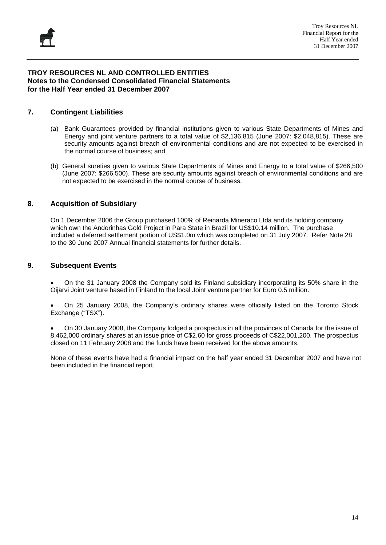#### **7. Contingent Liabilities**

- (a) Bank Guarantees provided by financial institutions given to various State Departments of Mines and Energy and joint venture partners to a total value of \$2,136,815 (June 2007: \$2,048,815). These are security amounts against breach of environmental conditions and are not expected to be exercised in the normal course of business; and
- (b) General sureties given to various State Departments of Mines and Energy to a total value of \$266,500 (June 2007: \$266,500). These are security amounts against breach of environmental conditions and are not expected to be exercised in the normal course of business.

#### **8. Acquisition of Subsidiary**

On 1 December 2006 the Group purchased 100% of Reinarda Mineraco Ltda and its holding company which own the Andorinhas Gold Project in Para State in Brazil for US\$10.14 million. The purchase included a deferred settlement portion of US\$1.0m which was completed on 31 July 2007. Refer Note 28 to the 30 June 2007 Annual financial statements for further details.

#### **9. Subsequent Events**

• On the 31 January 2008 the Company sold its Finland subsidiary incorporating its 50% share in the Oijärvi Joint venture based in Finland to the local Joint venture partner for Euro 0.5 million.

• On 25 January 2008, the Company's ordinary shares were officially listed on the Toronto Stock Exchange ("TSX").

• On 30 January 2008, the Company lodged a prospectus in all the provinces of Canada for the issue of 8,462,000 ordinary shares at an issue price of C\$2.60 for gross proceeds of C\$22,001,200. The prospectus closed on 11 February 2008 and the funds have been received for the above amounts.

None of these events have had a financial impact on the half year ended 31 December 2007 and have not been included in the financial report.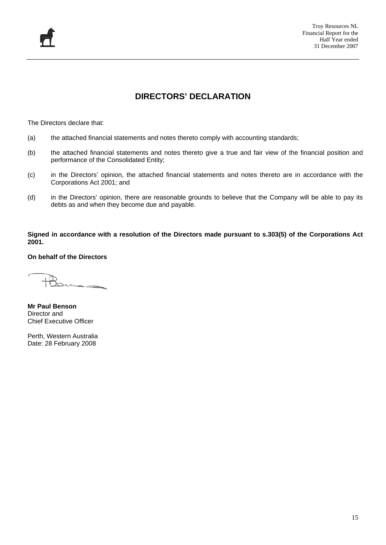### **DIRECTORS' DECLARATION**

The Directors declare that:

- (a) the attached financial statements and notes thereto comply with accounting standards;
- (b) the attached financial statements and notes thereto give a true and fair view of the financial position and performance of the Consolidated Entity;
- (c) in the Directors' opinion, the attached financial statements and notes thereto are in accordance with the Corporations Act 2001; and
- (d) in the Directors' opinion, there are reasonable grounds to believe that the Company will be able to pay its debts as and when they become due and payable.

**Signed in accordance with a resolution of the Directors made pursuant to s.303(5) of the Corporations Act 2001.** 

**On behalf of the Directors** 

**Mr Paul Benson**  Director and Chief Executive Officer

Perth, Western Australia Date: 28 February 2008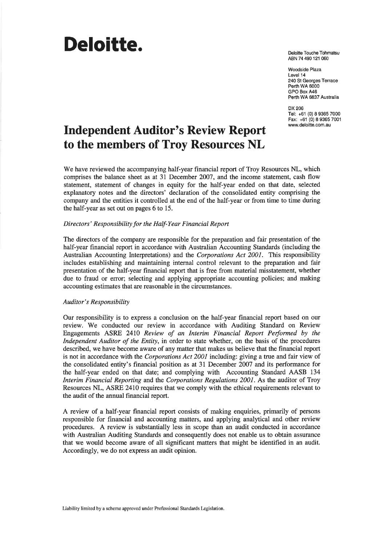# Deloitte.

Deloitte Touche Tohmatsu ABN 74 490 121 060

Woodside Plaza Level 14 240 St Georges Terrace Perth WA 6000 GPO Box A46 Perth WA 6837 Australia

DX 206 Tel: +61 (0) 8 9365 7000 Fax: +61 (0) 8 9365 7001 www.deloitte.com.au

## **Independent Auditor's Review Report** to the members of Troy Resources NL

We have reviewed the accompanying half-year financial report of Troy Resources NL, which comprises the balance sheet as at 31 December 2007, and the income statement, cash flow statement, statement of changes in equity for the half-year ended on that date, selected explanatory notes and the directors' declaration of the consolidated entity comprising the company and the entities it controlled at the end of the half-year or from time to time during the half-year as set out on pages 6 to 15.

#### Directors' Responsibility for the Half-Year Financial Report

The directors of the company are responsible for the preparation and fair presentation of the half-year financial report in accordance with Australian Accounting Standards (including the Australian Accounting Interpretations) and the Corporations Act 2001. This responsibility includes establishing and maintaining internal control relevant to the preparation and fair presentation of the half-year financial report that is free from material misstatement, whether due to fraud or error; selecting and applying appropriate accounting policies; and making accounting estimates that are reasonable in the circumstances.

#### Auditor's Responsibility

Our responsibility is to express a conclusion on the half-year financial report based on our review. We conducted our review in accordance with Auditing Standard on Review Engagements ASRE 2410 Review of an Interim Financial Report Performed by the Independent Auditor of the Entity, in order to state whether, on the basis of the procedures described, we have become aware of any matter that makes us believe that the financial report is not in accordance with the *Corporations Act 2001* including: giving a true and fair view of the consolidated entity's financial position as at 31 December 2007 and its performance for the half-year ended on that date; and complying with Accounting Standard AASB 134 Interim Financial Reporting and the Corporations Regulations 2001. As the auditor of Troy Resources NL, ASRE 2410 requires that we comply with the ethical requirements relevant to the audit of the annual financial report.

A review of a half-year financial report consists of making enquiries, primarily of persons responsible for financial and accounting matters, and applying analytical and other review procedures. A review is substantially less in scope than an audit conducted in accordance with Australian Auditing Standards and consequently does not enable us to obtain assurance that we would become aware of all significant matters that might be identified in an audit. Accordingly, we do not express an audit opinion.